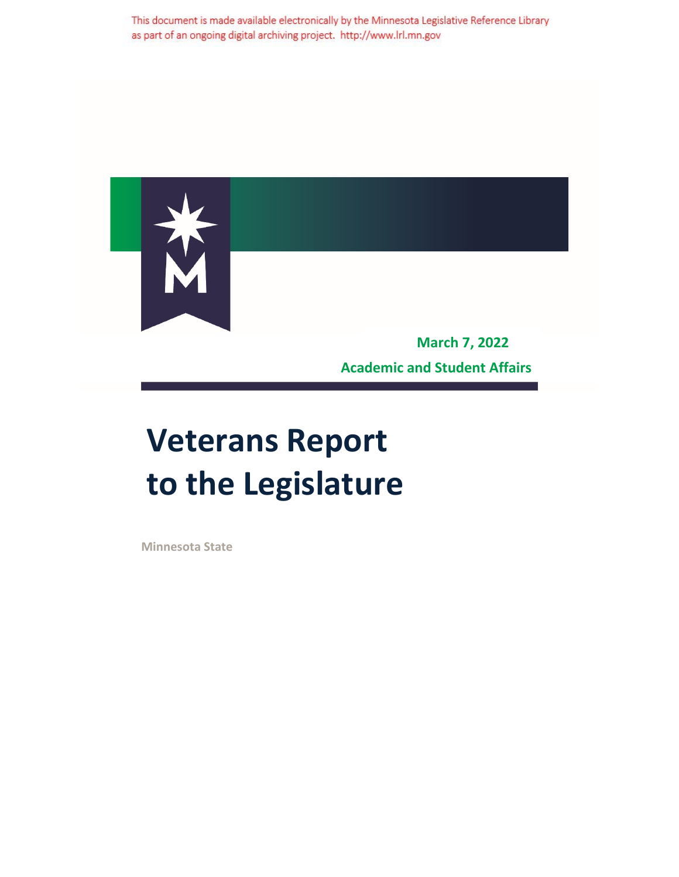This document is made available electronically by the Minnesota Legislative Reference Library as part of an ongoing digital archiving project. http://www.lrl.mn.gov



**Academic and Student Affairs**

## **Veterans Report to the Legislature**

**Minnesota State**